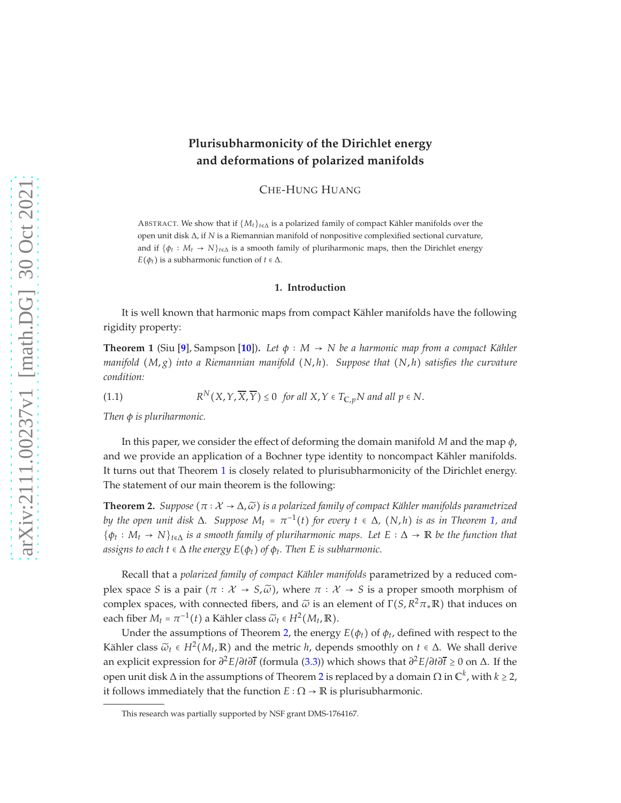# **Plurisubharmonicity of the Dirichlet energy and deformations of polarized manifolds**

CHE-HUNG HUANG

ABSTRACT. We show that if  $\{M_t\}_{t \in \Delta}$  is a polarized family of compact Kähler manifolds over the open unit disk ∆, if *N* is a Riemannian manifold of nonpositive complexified sectional curvature, and if  $\{\phi_t: M_t \to N\}_{t \in \Delta}$  is a smooth family of pluriharmonic maps, then the Dirichlet energy *E*( $\phi$ *t*) is a subharmonic function of *t* ∈  $\Delta$ .

#### **1. Introduction**

It is well known that harmonic maps from compact Kähler manifolds have the following rigidity property:

<span id="page-0-0"></span>**Theorem 1** (Siu [[9](#page-9-0)], Sampson [[10](#page-9-1)]). Let  $\phi : M \to N$  be a harmonic map from a compact Kähler *manifold* (*M*, *g*) *into a Riemannian manifold* (*N*, *h*)*. Suppose that* (*N*, *h*) *satisfies the curvature condition:*

<span id="page-0-2"></span>(1.1) 
$$
R^N(X, Y, \overline{X}, \overline{Y}) \le 0
$$
 for all  $X, Y \in T_{C, p}N$  and all  $p \in N$ .

*Then φ is pluriharmonic.*

In this paper, we consider the effect of deforming the domain manifold *M* and the map *φ*, and we provide an application of a Bochner type identity to noncompact Kähler manifolds. It turns out that Theorem [1](#page-0-0) is closely related to plurisubharmonicity of the Dirichlet energy. The statement of our main theorem is the following:

<span id="page-0-1"></span>**Theorem 2.** *Suppose*  $(\pi : \mathcal{X} \to \Delta, \widetilde{\omega})$  *is a polarized family of compact Kähler manifolds parametrized*  $b$ y the open unit disk  $\Delta$ . Suppose  $M_t$  =  $\pi^{-1}(t)$  for every  $t \in \Delta$ ,  $(N,h)$  is as in Theorem [1,](#page-0-0) and {*φ<sup>t</sup>* ∶ *M<sup>t</sup>* → *N*}*t*∈<sup>∆</sup> *is a smooth family of pluriharmonic maps. Let E* ∶ ∆ → **R** *be the function that assigns to each t*  $\epsilon \Delta$  *the energy*  $E(\phi_t)$  *of*  $\phi_t$ *. Then E is subharmonic.* 

Recall that a *polarized family of compact Kähler manifolds* parametrized by a reduced complex space *S* is a pair  $(\pi : \mathcal{X} \to S, \tilde{\omega})$ , where  $\pi : \mathcal{X} \to S$  is a proper smooth morphism of complex spaces, with connected fibers, and *ω*̃ is an element of Γ(*S*, *R* <sup>2</sup>*π*∗**R**) that induces on each fiber  $M_t = \pi^{-1}(t)$  a Kähler class  $\widetilde{\omega}_t \in H^2(M_t, \mathbb{R})$ .

Under the assumptions of Theorem [2,](#page-0-1) the energy  $E(\phi_t)$  of  $\phi_t$ , defined with respect to the Kähler class  $\widetilde{\omega}_t \in H^2(M_t, \mathbb{R})$  and the metric *h*, depends smoothly on  $t \in \Delta$ . We shall derive an explicit expression for *∂* <sup>2</sup>*E*/*∂t∂t* (formula [\(3.3\)](#page-3-0)) which shows that *∂* <sup>2</sup>*E*/*∂t∂t* ≥ 0 on ∆. If the open unit disk  $\Delta$  in the assumptions of Theorem [2](#page-0-1) is replaced by a domain  $\Omega$  in  $\mathbb{C}^k$ , with  $k \geq 2$ , it follows immediately that the function  $E : \Omega \to \mathbb{R}$  is plurisubharmonic.

This research was partially supported by NSF grant DMS-1764167.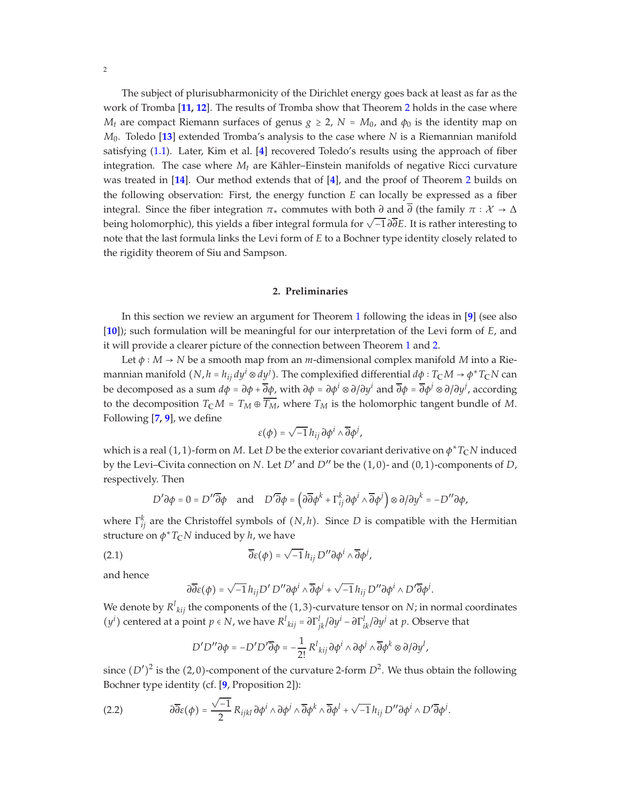The subject of plurisubharmonicity of the Dirichlet energy goes back at least as far as the work of Tromba [**[11,](#page-9-2) [12](#page-9-3)**]. The results of Tromba show that Theorem [2](#page-0-1) holds in the case where *M*<sup>*t*</sup> are compact Riemann surfaces of genus  $g \ge 2$ ,  $N = M_0$ , and  $\phi_0$  is the identity map on *M*0. Toledo [**[13](#page-9-4)**] extended Tromba's analysis to the case where *N* is a Riemannian manifold satisfying [\(1.1\)](#page-0-2). Later, Kim et al. [**[4](#page-9-5)**] recovered Toledo's results using the approach of fiber integration. The case where  $M_t$  are Kähler–Einstein manifolds of negative Ricci curvature was treated in [**[14](#page-9-6)**]. Our method extends that of [**[4](#page-9-5)**], and the proof of Theorem [2](#page-0-1) builds on the following observation: First, the energy function *E* can locally be expressed as a fiber integral. Since the fiber integration  $\pi_*$  commutes with both  $\partial$  and  $\overline{\partial}$  (the family  $\pi : \mathcal{X} \to \Delta$ **being holomorphic), this yields a fiber integral formula for**  $\sqrt{-1} \partial \overline{\partial} E$ **. It is rather interesting to** note that the last formula links the Levi form of *E* to a Bochner type identity closely related to the rigidity theorem of Siu and Sampson.

#### **2. Preliminaries**

In this section we review an argument for Theorem [1](#page-0-0) following the ideas in [**[9](#page-9-0)**] (see also [**[10](#page-9-1)**]); such formulation will be meaningful for our interpretation of the Levi form of *E*, and it will provide a clearer picture of the connection between Theorem [1](#page-0-0) and [2.](#page-0-1)

Let *φ* ∶ *M* → *N* be a smooth map from an *m*-dimensional complex manifold *M* into a Riemannian manifold  $(N, h = h_{ij} dy^i \otimes dy^j)$ . The complexified differential  $d\phi: T_\mathbb{C} M \to \phi^* T_\mathbb{C} N$  can be decomposed as a sum *dφ* = *∂φ* + *∂φ*, with *∂φ* = *∂φ<sup>i</sup>* ⊗ *∂*/*∂y i* and *∂φ* = *∂φ<sup>j</sup>* ⊗ *∂*/*∂y j* , according to the decomposition  $T_{\mathbb{C}}M = T_M \oplus \overline{T_M}$ , where  $T_M$  is the holomorphic tangent bundle of M. Following [**[7,](#page-9-7) [9](#page-9-0)**], we define

$$
\varepsilon(\phi) = \sqrt{-1} \, h_{ij} \, \partial \phi^i \wedge \overline{\partial} \phi^j,
$$

which is a real  $(1, 1)$ -form on *M*. Let *D* be the exterior covariant derivative on  $\phi^* T_\mathbb{C} N$  induced by the Levi–Civita connection on *N*. Let *D'* and *D''* be the  $(1,0)$ - and  $(0,1)$ -components of *D*, respectively. Then

$$
D'\partial \phi = 0 = D''\overline{\partial}\phi \quad \text{and} \quad D'\overline{\partial}\phi = \left(\partial \overline{\partial}\phi^k + \Gamma^k_{ij}\partial \phi^i \wedge \overline{\partial}\phi^j\right) \otimes \partial/\partial y^k = -D''\partial \phi,
$$

where Γ<sup>k</sup><sub>*ij*</sub> are the Christoffel symbols of (*N*, *h*). Since *D* is compatible with the Hermitian structure on *φ* <sup>∗</sup>*T***C***N* induced by *h*, we have

(2.1) 
$$
\overline{\partial}\varepsilon(\phi) = \sqrt{-1} h_{ij} D'' \partial \phi^i \wedge \overline{\partial} \phi^j,
$$

and hence

<span id="page-1-0"></span>
$$
\partial\overline{\partial}\varepsilon(\phi)=\sqrt{-1}\,h_{ij}D'\,D''\partial\phi^i\wedge\overline{\partial}\phi^j+\sqrt{-1}\,h_{ij}\,D''\partial\phi^i\wedge D'\overline{\partial}\phi^j.
$$

We denote by  $R^{l}_{\ kij}$  the components of the  $(1,3)$ -curvature tensor on  $N$ ; in normal coordinates  $(y^i)$  centered at a point  $p \in N$ , we have  $R^l{}_{kij} = \frac{\partial \Gamma^l_{jk}}{\partial y^i} - \frac{\partial \Gamma^l_{ik}}{\partial y^j}$  at  $p$ . Observe that

$$
D'D''\partial \phi = -D'D'\overline{\partial}\phi = -\frac{1}{2!} R^l{}_{kij}\partial \phi^i \wedge \partial \phi^j \wedge \overline{\partial} \phi^k \otimes \partial/\partial y^l,
$$

since  $(D')^2$  is the  $(2, 0)$ -component of the curvature 2-form  $D^2$ . We thus obtain the following Bochner type identity (cf. [**[9](#page-9-0)**, Proposition 2]):

<span id="page-1-1"></span>(2.2) 
$$
\partial \overline{\partial} \varepsilon(\phi) = \frac{\sqrt{-1}}{2} R_{ijkl} \partial \phi^i \wedge \partial \phi^j \wedge \overline{\partial} \phi^k \wedge \overline{\partial} \phi^l + \sqrt{-1} h_{ij} D'' \partial \phi^i \wedge D' \overline{\partial} \phi^j.
$$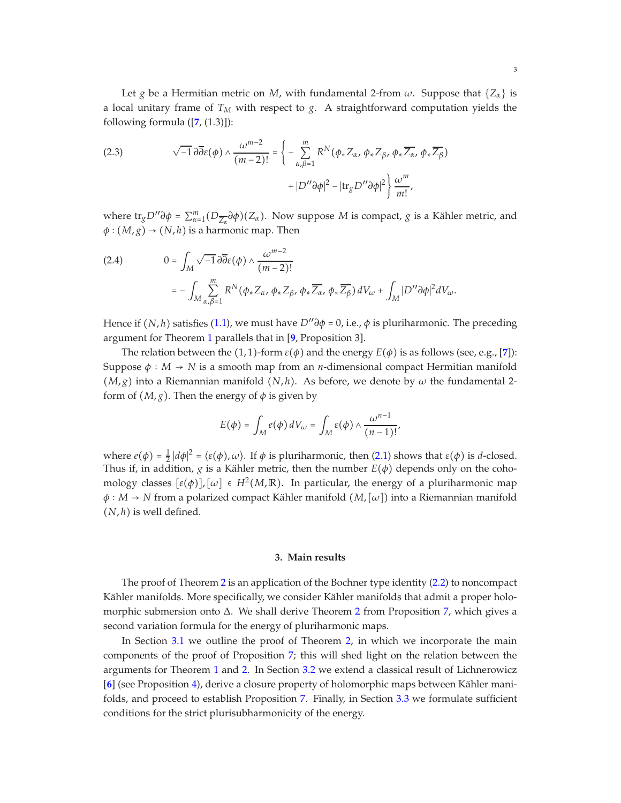Let *g* be a Hermitian metric on *M*, with fundamental 2-from  $\omega$ . Suppose that  $\{Z_\alpha\}$  is a local unitary frame of  $T_M$  with respect to  $g$ . A straightforward computation yields the following formula ([**[7](#page-9-7)**, (1.3)]):

<span id="page-2-0"></span>(2.3) 
$$
\sqrt{-1} \, \partial \overline{\partial} \varepsilon(\phi) \wedge \frac{\omega^{m-2}}{(m-2)!} = \left\{ - \sum_{\alpha,\beta=1}^{m} R^N(\phi_* Z_\alpha, \phi_* Z_\beta, \phi_* \overline{Z_\alpha}, \phi_* \overline{Z_\beta}) \right. \\ \left. + |D'' \partial \phi|^2 - |\text{tr}_g D'' \partial \phi|^2 \right\} \frac{\omega^m}{m!},
$$

where  $\text{tr}_g D'' \partial \phi = \sum_{\alpha=1}^m (D_{\overline{Z_\alpha}} \partial \phi)(Z_\alpha)$ . Now suppose *M* is compact, *g* is a Kähler metric, and  $\phi$  :  $(M, g) \rightarrow (N, h)$  is a harmonic map. Then

<span id="page-2-1"></span>(2.4) 
$$
0 = \int_M \sqrt{-1} \, \partial \overline{\partial} \varepsilon(\phi) \wedge \frac{\omega^{m-2}}{(m-2)!} \\ = - \int_M \sum_{\alpha,\beta=1}^m R^N(\phi_* Z_\alpha, \phi_* Z_\beta, \phi_* \overline{Z_\alpha}, \phi_* \overline{Z_\beta}) dV_\omega + \int_M |D'' \partial \phi|^2 dV_\omega.
$$

Hence if  $(N, h)$  satisfies [\(1.1\)](#page-0-2), we must have  $D''\partial \phi = 0$ , i.e.,  $\phi$  is pluriharmonic. The preceding argument for Theorem [1](#page-0-0) parallels that in [**[9](#page-9-0)**, Proposition 3].

The relation between the (1, 1)-form  $\varepsilon(\phi)$  and the energy  $E(\phi)$  is as follows (see, e.g., [[7](#page-9-7)]): Suppose  $\phi : M \to N$  is a smooth map from an *n*-dimensional compact Hermitian manifold  $(M, g)$  into a Riemannian manifold  $(N, h)$ . As before, we denote by  $\omega$  the fundamental 2form of  $(M, g)$ . Then the energy of  $\phi$  is given by

$$
E(\phi) = \int_M e(\phi) dV_{\omega} = \int_M \varepsilon(\phi) \wedge \frac{\omega^{n-1}}{(n-1)!},
$$

where  $e(\phi) = \frac{1}{2} |d\phi|^2 = \langle \varepsilon(\phi), \omega \rangle$ . If  $\phi$  is pluriharmonic, then [\(2.1\)](#page-1-0) shows that  $\varepsilon(\phi)$  is *d*-closed. Thus if, in addition, *g* is a Kähler metric, then the number  $E(\phi)$  depends only on the cohomology classes  $[\varepsilon(\phi)]$ ,  $[\omega] \in H^2(M,\mathbb{R})$ . In particular, the energy of a pluriharmonic map  $\phi : M \to N$  from a polarized compact Kähler manifold  $(M, [\omega])$  into a Riemannian manifold (*N*, *h*) is well defined.

## **3. Main results**

The proof of Theorem [2](#page-0-1) is an application of the Bochner type identity [\(2.2\)](#page-1-1) to noncompact Kähler manifolds. More specifically, we consider Kähler manifolds that admit a proper holomorphic submersion onto ∆. We shall derive Theorem [2](#page-0-1) from Proposition [7,](#page-5-0) which gives a second variation formula for the energy of pluriharmonic maps.

In Section [3.1](#page-3-1) we outline the proof of Theorem [2,](#page-0-1) in which we incorporate the main components of the proof of Proposition [7;](#page-5-0) this will shed light on the relation between the arguments for Theorem [1](#page-0-0) and [2.](#page-0-1) In Section [3.2](#page-3-2) we extend a classical result of Lichnerowicz [[6](#page-9-8)] (see Proposition [4\)](#page-4-0), derive a closure property of holomorphic maps between Kähler manifolds, and proceed to establish Proposition [7.](#page-5-0) Finally, in Section [3.3](#page-7-0) we formulate sufficient conditions for the strict plurisubharmonicity of the energy.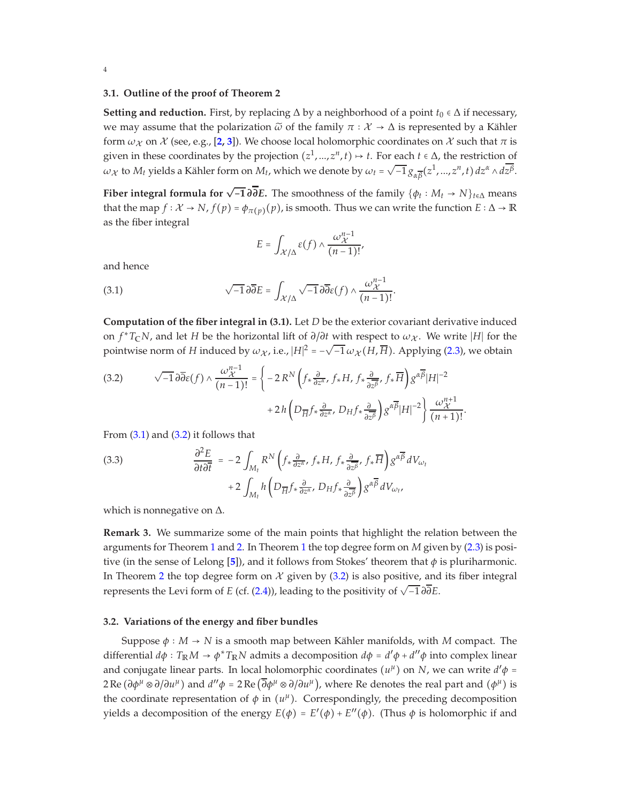## <span id="page-3-1"></span>**3.1. Outline of the proof of Theorem 2**

**Setting and reduction.** First, by replacing  $\Delta$  by a neighborhood of a point  $t_0 \in \Delta$  if necessary, we may assume that the polarization  $\tilde{\omega}$  of the family  $\pi : \mathcal{X} \to \Delta$  is represented by a Kähler form  $\omega_{\chi}$  on  $\chi$  (see, e.g., [[2,](#page-9-9) [3](#page-9-10)]). We choose local holomorphic coordinates on  $\chi$  such that  $\pi$  is given in these coordinates by the projection  $(z^1, ..., z^n, t) \mapsto t$ . For each  $t \in \Delta$ , the restriction of  $ω$ <sub>*x*</sub> to *M<sub>t</sub>* yields a Kähler form on *M<sub>t</sub>*, which we denote by  $ω$ <sub>*t*</sub> =  $\sqrt{-1} g_{\alpha \overline{\beta}}(z^1, ..., z^n, t) dz^{\alpha} \wedge d\overline{z^{\beta}}$ .

**Fiber integral formula for**  $\sqrt{-1} \partial \overline{\partial} E$ . The smoothness of the family  $\{\phi_t : M_t \to N\}_{t \in \Delta}$  means that the map  $f: \mathcal{X} \to N$ ,  $f(p) = \phi_{\pi(p)}(p)$ , is smooth. Thus we can write the function  $E: \Delta \to \mathbb{R}$ as the fiber integral

<span id="page-3-3"></span>
$$
E = \int_{\mathcal{X}/\Delta} \varepsilon(f) \wedge \frac{\omega_{\mathcal{X}}^{n-1}}{(n-1)!},
$$

and hence

(3.1) 
$$
\sqrt{-1} \, \partial \overline{\partial} E = \int_{\mathcal{X}/\Delta} \sqrt{-1} \, \partial \overline{\partial} \varepsilon(f) \wedge \frac{\omega_{\mathcal{X}}^{n-1}}{(n-1)!}.
$$

**Computation of the fiber integral in (3.1).** Let *D* be the exterior covariant derivative induced on  $f^*T_cN$ , and let *H* be the horizontal lift of  $\partial/\partial t$  with respect to  $\omega_{\mathcal{X}}$ . We write |*H*| for the pointwise norm of *H* induced by  $\omega_X$ , i.e.,  $|H|^2 = -\sqrt{-1} \omega_X(H, \overline{H})$ . Applying [\(2.3\)](#page-2-0), we obtain

<span id="page-3-4"></span>(3.2) 
$$
\sqrt{-1} \,\partial \overline{\partial} \varepsilon(f) \wedge \frac{\omega_{\mathcal{X}}^{n-1}}{(n-1)!} = \left\{ -2 \, R^N \left( f_* \frac{\partial}{\partial z^{\alpha}}, f_* H, f_* \frac{\partial}{\partial z^{\beta}}, f_* \overline{H} \right) g^{\alpha \overline{\beta}} |H|^{-2} \right. \\ \left. + 2 \, h \left( D_{\overline{H}} f_* \frac{\partial}{\partial z^{\alpha}}, D_H f_* \frac{\partial}{\partial z^{\beta}} \right) g^{\alpha \overline{\beta}} |H|^{-2} \right\} \frac{\omega_{\mathcal{X}}^{n+1}}{(n+1)!}.
$$

From  $(3.1)$  and  $(3.2)$  it follows that

<span id="page-3-0"></span>(3.3) 
$$
\frac{\partial^2 E}{\partial t \partial \overline{t}} = -2 \int_{M_t} R^N \left( f_* \frac{\partial}{\partial z^{\alpha}}, f_* H, f_* \frac{\partial}{\partial z^{\beta}}, f_* \overline{H} \right) g^{\alpha \overline{\beta}} dV_{\omega_t} + 2 \int_{M_t} h \left( D_{\overline{H}} f_* \frac{\partial}{\partial z^{\alpha}}, D_H f_* \frac{\partial}{\partial z^{\beta}} \right) g^{\alpha \overline{\beta}} dV_{\omega_t},
$$

which is nonnegative on ∆.

**Remark 3.** We summarize some of the main points that highlight the relation between the arguments for Theorem [1](#page-0-0) and [2.](#page-0-1) In Theorem [1](#page-0-0) the top degree form on *M* given by [\(2.3\)](#page-2-0) is positive (in the sense of Lelong [**[5](#page-9-11)**]), and it follows from Stokes' theorem that *φ* is pluriharmonic. In Theorem [2](#page-0-1) the top degree form on  $\mathcal X$  given by [\(3.2\)](#page-3-4) is also positive, and its fiber integral represents the Levi form of *<sup>E</sup>* (cf. [\(2.4\)](#page-2-1)), leading to the positivity of <sup>√</sup> −1 *∂∂E*.

## <span id="page-3-2"></span>**3.2. Variations of the energy and fiber bundles**

Suppose  $\phi : M \to N$  is a smooth map between Kähler manifolds, with *M* compact. The differential  $d\phi$  :  $T_{\mathbb{R}}M \to \phi^* T_{\mathbb{R}}N$  admits a decomposition  $d\phi = d'\phi + d''\phi$  into complex linear and conjugate linear parts. In local holomorphic coordinates  $(u^{\mu})$  on *N*, we can write  $d'\phi$  =  $2 \text{Re}(\partial \phi^{\mu} \otimes \partial/\partial u^{\mu})$  and  $d''\phi = 2 \text{Re}(\overline{\partial} \phi^{\mu} \otimes \partial/\partial u^{\mu})$ , where Re denotes the real part and  $(\phi^{\mu})$  is the coordinate representation of  $\phi$  in  $(u^{\mu})$ . Correspondingly, the preceding decomposition yields a decomposition of the energy  $E(\phi) = E'(\phi) + E''(\phi)$ . (Thus  $\phi$  is holomorphic if and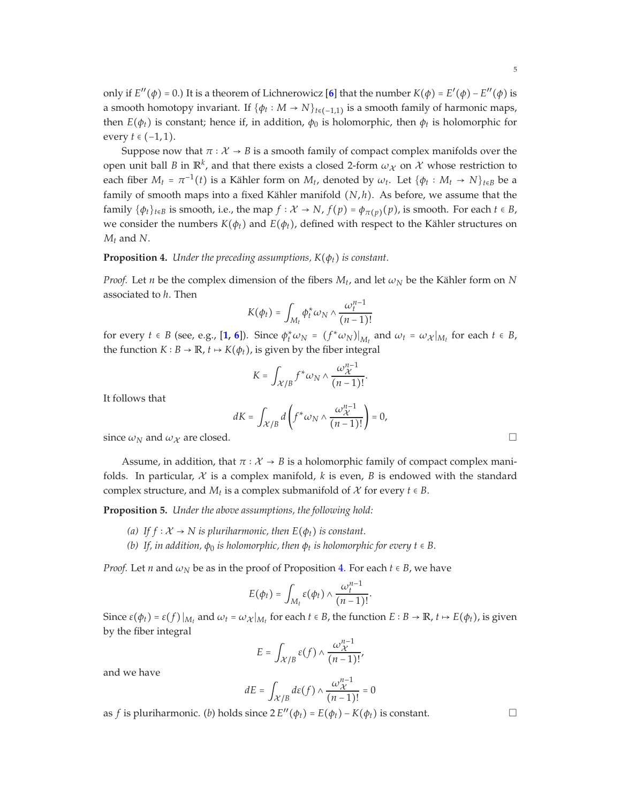only if  $E''(\phi) = 0$ .) It is a theorem of Lichnerowicz [[6](#page-9-8)] that the number  $K(\phi) = E'(\phi) - E''(\phi)$  is a smooth homotopy invariant. If  $\{\phi_t: M \to N\}_{t \in (-1,1)}$  is a smooth family of harmonic maps, then  $E(\phi_t)$  is constant; hence if, in addition,  $\phi_0$  is holomorphic, then  $\phi_t$  is holomorphic for every *t* ∈ (−1, 1).

Suppose now that  $\pi : \mathcal{X} \to B$  is a smooth family of compact complex manifolds over the open unit ball *B* in  $\mathbb{R}^k$ , and that there exists a closed 2-form  $\omega_\mathcal{X}$  on  $\mathcal{X}$  whose restriction to each fiber  $M_t = \pi^{-1}(t)$  is a Kähler form on  $M_t$ , denoted by  $\omega_t$ . Let  $\{\phi_t : M_t \to N\}_{t \in B}$  be a family of smooth maps into a fixed Kähler manifold (*N*, *h*). As before, we assume that the family  $\{\phi_t\}_{t\in B}$  is smooth, i.e., the map  $f: \mathcal{X} \to N$ ,  $f(p) = \phi_{\pi(p)}(p)$ , is smooth. For each  $t \in B$ , we consider the numbers  $K(\phi_t)$  and  $E(\phi_t)$ , defined with respect to the Kähler structures on *Mt* and *N*.

## <span id="page-4-0"></span>**Proposition 4.** *Under the preceding assumptions, K*(*φt*) *is constant.*

*Proof.* Let *n* be the complex dimension of the fibers  $M_t$ , and let  $\omega_N$  be the Kähler form on  $N$ associated to *h*. Then

$$
K(\phi_t) = \int_{M_t} \phi_t^* \omega_N \wedge \frac{\omega_t^{n-1}}{(n-1)!}
$$

for every  $t \in B$  (see, e.g., [[1,](#page-9-12) [6](#page-9-8)]). Since  $\phi_t^* \omega_N = (f^* \omega_N)|_{M_t}$  and  $\omega_t = \omega_{\mathcal{X}}|_{M_t}$  for each  $t \in B$ , the function *K* ∶ *B* → **R**, *t* → *K*( $φ$ *t*), is given by the fiber integral

$$
K = \int_{\mathcal{X}/B} f^* \omega_N \wedge \frac{\omega_{\mathcal{X}}^{n-1}}{(n-1)!}.
$$

It follows that

$$
dK = \int_{\mathcal{X}/B} d\left(f^* \omega_N \wedge \frac{\omega_{\mathcal{X}}^{n-1}}{(n-1)!}\right) = 0,
$$

since  $\omega_N$  and  $\omega_X$  are closed.

Assume, in addition, that  $\pi : \mathcal{X} \to B$  is a holomorphic family of compact complex manifolds. In particular,  $\mathcal X$  is a complex manifold,  $k$  is even,  $B$  is endowed with the standard complex structure, and  $M_t$  is a complex submanifold of  $X$  for every  $t \in B$ .

<span id="page-4-1"></span>**Proposition 5.** *Under the above assumptions, the following hold:*

- *(a)* If  $f$  ∶  $X$  →  $N$  *is pluriharmonic, then*  $E$ ( $φ$ *t) is constant.*
- *(b) If, in addition, φ*<sup>0</sup> *is holomorphic, then φ<sup>t</sup> is holomorphic for every t* ∈ *B.*

*Proof.* Let *n* and  $\omega_N$  be as in the proof of Proposition [4.](#page-4-0) For each  $t \in B$ , we have

$$
E(\phi_t) = \int_{M_t} \varepsilon(\phi_t) \wedge \frac{\omega_t^{n-1}}{(n-1)!}
$$

.

Since  $\varepsilon(\phi_t) = \varepsilon(f)|_{M_t}$  and  $\omega_t = \omega_{\mathcal{X}}|_{M_t}$  for each  $t \in B$ , the function  $E : B \to \mathbb{R}$ ,  $t \mapsto E(\phi_t)$ , is given by the fiber integral

$$
E = \int_{\mathcal{X}/B} \varepsilon(f) \wedge \frac{\omega_{\mathcal{X}}^{n-1}}{(n-1)!},
$$

and we have

$$
dE = \int_{\mathcal{X}/B} d\varepsilon(f) \wedge \frac{\omega_{\mathcal{X}}^{n-1}}{(n-1)!} = 0
$$

as *f* is pluriharmonic. (*b*) holds since  $2 E''(\phi_t) = E(\phi_t) - K(\phi_t)$  is constant. □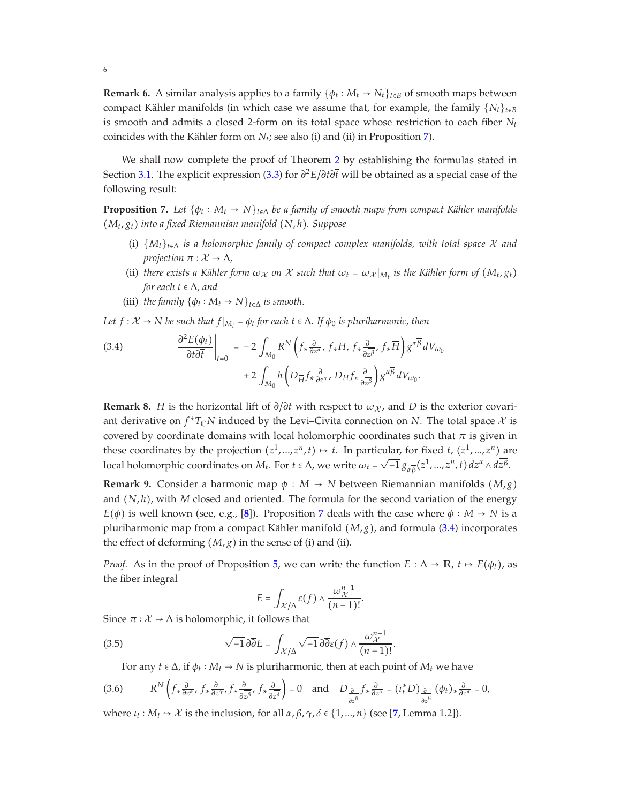**Remark 6.** A similar analysis applies to a family {*φ<sup>t</sup>* ∶ *M<sup>t</sup>* → *Nt*}*t*∈*<sup>B</sup>* of smooth maps between compact Kähler manifolds (in which case we assume that, for example, the family  ${N_t}_{t \in B}$ is smooth and admits a closed 2-form on its total space whose restriction to each fiber  $N_t$ coincides with the Kähler form on  $N_t$ ; see also (i) and (ii) in Proposition [7\)](#page-5-0).

We shall now complete the proof of Theorem [2](#page-0-1) by establishing the formulas stated in Section [3.1.](#page-3-1) The explicit expression [\(3.3\)](#page-3-0) for *∂* <sup>2</sup>*E*/*∂t∂t* will be obtained as a special case of the following result:

<span id="page-5-0"></span>**Proposition 7.** Let  $\{\phi_t: M_t \to N\}_{t \in \Delta}$  be a family of smooth maps from compact Kähler manifolds (*M<sup>t</sup>* , *gt*) *into a fixed Riemannian manifold* (*N*, *h*)*. Suppose*

- (i) {*Mt*}*t*∈<sup>∆</sup> *is a holomorphic family of compact complex manifolds, with total space* X *and projection*  $\pi : \mathcal{X} \to \Delta$ ,
- (ii) there exists a Kähler form  $\omega_\chi$  on  $\chi$  such that  $\omega_t = \omega_\chi|_{M_t}$  is the Kähler form of  $(M_t, g_t)$ *for each t* ∈ ∆*, and*
- (iii) *the family*  $\{\phi_t : M_t \to N\}_{t \in \Delta}$  *is smooth.*

6

*Let*  $f: \mathcal{X} \to \mathbb{N}$  *be such that*  $f|_{M_t} = \phi_t$  *for each*  $t \in \Delta$ *. If*  $\phi_0$  *is pluriharmonic, then* 

<span id="page-5-1"></span>(3.4) 
$$
\frac{\partial^2 E(\phi_t)}{\partial t \partial \overline{t}}\bigg|_{t=0} = -2 \int_{M_0} R^N \left( f_* \frac{\partial}{\partial z^{\alpha}}, f_* H, f_* \frac{\partial}{\partial z^{\beta}}, f_* \overline{H} \right) g^{\alpha \overline{\beta}} dV_{\omega_0} + 2 \int_{M_0} h \left( D_{\overline{H}} f_* \frac{\partial}{\partial z^{\alpha}}, D_H f_* \frac{\partial}{\partial z^{\beta}} \right) g^{\alpha \overline{\beta}} dV_{\omega_0}.
$$

**Remark 8.** *H* is the horizontal lift of  $\partial/\partial t$  with respect to  $\omega_X$ , and *D* is the exterior covariant derivative on  $f^*T_{\mathbb{C}}N$  induced by the Levi–Civita connection on N. The total space  $\mathcal X$  is covered by coordinate domains with local holomorphic coordinates such that  $\pi$  is given in these coordinates by the projection  $(z^1, ..., z^n, t) \mapsto t$ . In particular, for fixed *t*,  $(z^1, ..., z^n)$  are local holomorphic coordinates on *M*<sub>*t*</sub>. For *t* ∈ Δ, we write  $ω_t = √{-1} g_{αβ}(z^1, ..., z^n, t) dz^α ∧ d\overline{z^β}$ .

**Remark 9.** Consider a harmonic map  $\phi : M \to N$  between Riemannian manifolds  $(M, g)$ and  $(N, h)$ , with *M* closed and oriented. The formula for the second variation of the energy  $E(\phi)$  is well known (see, e.g., [[8](#page-9-13)]). Proposition [7](#page-5-0) deals with the case where  $\phi : M \to N$  is a pluriharmonic map from a compact Kähler manifold  $(M, g)$ , and formula [\(3.4\)](#page-5-1) incorporates the effect of deforming  $(M, g)$  in the sense of (i) and (ii).

*Proof.* As in the proof of Proposition [5,](#page-4-1) we can write the function  $E : \Delta \to \mathbb{R}$ ,  $t \mapsto E(\phi_t)$ , as the fiber integral

<span id="page-5-3"></span>
$$
E = \int_{\mathcal{X}/\Delta} \varepsilon(f) \wedge \frac{\omega_{\mathcal{X}}^{n-1}}{(n-1)!}
$$

.

Since  $\pi : \mathcal{X} \to \Delta$  is holomorphic, it follows that

(3.5) 
$$
\sqrt{-1} \, \partial \overline{\partial} E = \int_{\mathcal{X}/\Delta} \sqrt{-1} \, \partial \overline{\partial} \varepsilon(f) \wedge \frac{\omega_{\mathcal{X}}^{n-1}}{(n-1)!}.
$$

<span id="page-5-2"></span>For any  $t \in \Delta$ , if  $\phi_t : M_t \to N$  is pluriharmonic, then at each point of  $M_t$  we have

$$
(3.6) \qquad R^N \left( f_* \frac{\partial}{\partial z^\alpha}, f_* \frac{\partial}{\partial z^\gamma}, f_* \frac{\partial}{\partial \overline{z^\beta}}, f_* \frac{\partial}{\partial z^\delta} \right) = 0 \quad \text{and} \quad D_{\frac{\partial}{\partial z^\beta}} f_* \frac{\partial}{\partial z^\alpha} = (t_t^* D)_{\frac{\partial}{\partial z^\beta}} (\phi_t)_* \frac{\partial}{\partial z^\alpha} = 0,
$$

where  $\iota_t : M_t \hookrightarrow \mathcal{X}$  is the inclusion, for all  $\alpha, \beta, \gamma, \delta \in \{1, ..., n\}$  (see [[7](#page-9-7), Lemma 1.2]).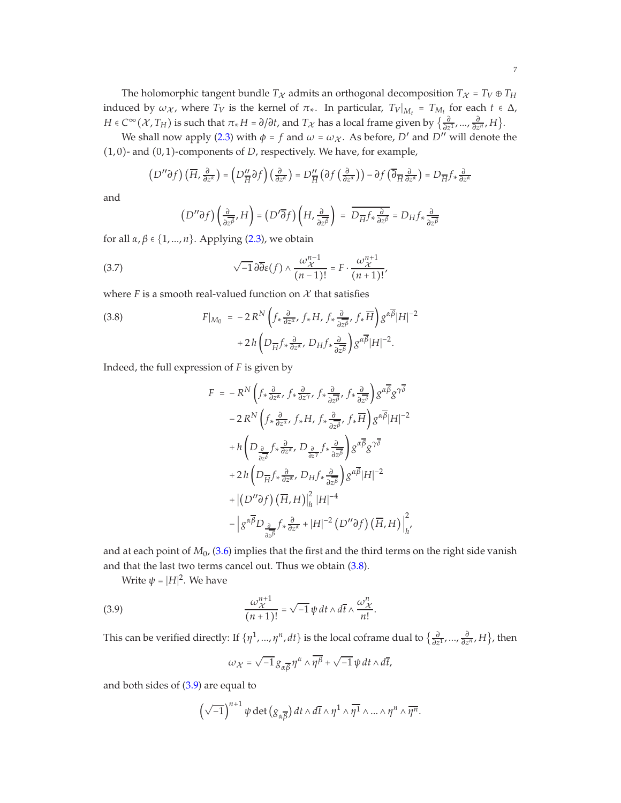The holomorphic tangent bundle  $T_X$  admits an orthogonal decomposition  $T_X = T_V \oplus T_H$ induced by  $\omega_X$ , where  $T_V$  is the kernel of  $\pi_*$ . In particular,  $T_V|_{M_t} = T_{M_t}$  for each  $t \in \Delta$ , *H* ∈  $C^{\infty}(\mathcal{X}, T_H)$  is such that  $\pi_* H = \partial/\partial t$ , and  $T_{\mathcal{X}}$  has a local frame given by  $\{\frac{\partial}{\partial z}$ *∂*<sub>*∂z*</sub><sup>*i*</sup></sub>, *H*<sub>*}*</sub>.

We shall now apply [\(2.3\)](#page-2-0) with  $\phi = f$  and  $\omega = \omega_{\mathcal{X}}$ . As before,  $D'$  and  $D''$  will denote the (1, 0)- and (0, 1)-components of *D*, respectively. We have, for example,

$$
\left(D''\partial f\right)\left(\overline{H},\frac{\partial}{\partial z^{\alpha}}\right)=\left(D''_{\overline{H}}\partial f\right)\left(\frac{\partial}{\partial z^{\alpha}}\right)=D''_{\overline{H}}\left(\partial f\left(\frac{\partial}{\partial z^{\alpha}}\right)\right)-\partial f\left(\overline{\partial}_{\overline{H}}\frac{\partial}{\partial z^{\alpha}}\right)=D_{\overline{H}}f_{*}\frac{\partial}{\partial z^{\alpha}}
$$

and

<span id="page-6-2"></span>
$$
\left(D''\partial f\right)\left(\frac{\partial}{\partial z^{\beta}},H\right)=\left(D'\overline{\partial} f\right)\left(H,\frac{\partial}{\partial z^{\beta}}\right)\;=\;\overline{D_{\overline{H}}f_{\ast}\frac{\partial}{\partial z^{\beta}}}=D_{H}f_{\ast}\frac{\partial}{\partial z^{\beta}}
$$

for all *α*, *β* ∈ {1, ..., *n*}. Applying [\(2.3\)](#page-2-0), we obtain

(3.7) 
$$
\sqrt{-1} \, \partial \overline{\partial} \varepsilon(f) \wedge \frac{\omega_{\mathcal{X}}^{n-1}}{(n-1)!} = F \cdot \frac{\omega_{\mathcal{X}}^{n+1}}{(n+1)!},
$$

where  $F$  is a smooth real-valued function on  $X$  that satisfies

<span id="page-6-0"></span>(3.8) 
$$
F|_{M_0} = -2 R^N \left( f_* \frac{\partial}{\partial z^{\alpha}}, f_* H, f_* \frac{\partial}{\partial z^{\beta}}, f_* \overline{H} \right) g^{\alpha \overline{\beta}} |H|^{-2} + 2 h \left( D_{\overline{H}} f_* \frac{\partial}{\partial z^{\alpha}}, D_H f_* \frac{\partial}{\partial z^{\beta}} \right) g^{\alpha \overline{\beta}} |H|^{-2}.
$$

Indeed, the full expression of *F* is given by

$$
F = -R^N \left( f_* \frac{\partial}{\partial z^\alpha}, f_* \frac{\partial}{\partial z^\gamma}, f_* \frac{\partial}{\partial z^\beta}, f_* \frac{\partial}{\partial z^\delta} \right) g^{\alpha \overline{\beta}} g^{\gamma \overline{\delta}}
$$
  

$$
- 2 R^N \left( f_* \frac{\partial}{\partial z^\alpha}, f_* H, f_* \frac{\partial}{\partial z^\beta}, f_* \overline{H} \right) g^{\alpha \overline{\beta}} |H|^{-2}
$$
  

$$
+ h \left( D_{\frac{\partial}{\partial z^\delta}} f_* \frac{\partial}{\partial z^\alpha}, D_{\frac{\partial}{\partial z^\gamma}} f_* \frac{\partial}{\partial z^\beta} \right) g^{\alpha \overline{\beta}} g^{\gamma \overline{\delta}}
$$
  

$$
+ 2 h \left( D_{\overline{H}} f_* \frac{\partial}{\partial z^\alpha}, D_H f_* \frac{\partial}{\partial z^\beta} \right) g^{\alpha \overline{\beta}} |H|^{-2}
$$
  

$$
+ |(D^{\prime \prime} \partial f) (\overline{H}, H) |_h^2 |H|^{-4}
$$
  

$$
- |g^{\alpha \overline{\beta}} D_{\frac{\partial}{\partial z^\beta}} f_* \frac{\partial}{\partial z^\alpha} + |H|^{-2} (D^{\prime \prime} \partial f) (\overline{H}, H) |_h^2
$$

and at each point of *M*0, [\(3.6\)](#page-5-2) implies that the first and the third terms on the right side vanish and that the last two terms cancel out. Thus we obtain [\(3.8\)](#page-6-0).

Write  $\psi = |H|^2$ . We have

(3.9) 
$$
\frac{\omega_{\mathcal{X}}^{n+1}}{(n+1)!} = \sqrt{-1} \psi dt \wedge d\overline{t} \wedge \frac{\omega_{\mathcal{X}}^n}{n!}.
$$

This can be verified directly: If  $\{\eta^1, ..., \eta^n, dt\}$  is the local coframe dual to  $\{\frac{\partial}{\partial z}$ *∂z* 1 , ..., *∂ ∂z <sup>n</sup>* , *H*}, then

<span id="page-6-1"></span>
$$
\omega_{\mathcal{X}} = \sqrt{-1} \, g_{\alpha\overline{\beta}} \, \eta^{\alpha} \wedge \overline{\eta^{\beta}} + \sqrt{-1} \, \psi \, dt \wedge d\overline{t},
$$

and both sides of [\(3.9\)](#page-6-1) are equal to

$$
\left(\sqrt{-1}\right)^{n+1} \psi \det\left(g_{\alpha\overline{\beta}}\right) dt \wedge d\overline{t} \wedge \eta^1 \wedge \overline{\eta^1} \wedge \ldots \wedge \eta^n \wedge \overline{\eta^n}.
$$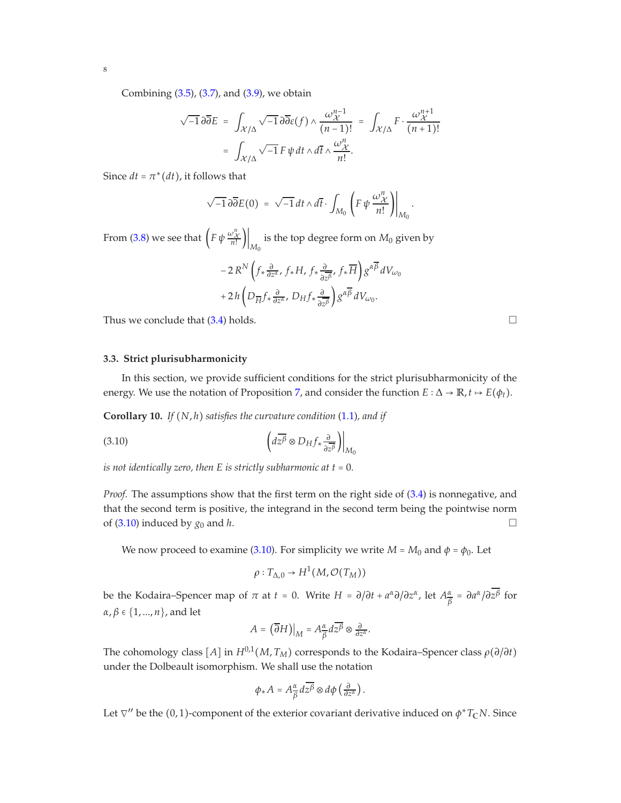Combining  $(3.5)$ ,  $(3.7)$ , and  $(3.9)$ , we obtain

$$
\sqrt{-1}\,\partial\overline{\partial}E = \int_{\mathcal{X}/\Delta} \sqrt{-1}\,\partial\overline{\partial}\varepsilon(f) \wedge \frac{\omega_{\mathcal{X}}^{n-1}}{(n-1)!} = \int_{\mathcal{X}/\Delta} F \cdot \frac{\omega_{\mathcal{X}}^{n+1}}{(n+1)!}
$$

$$
= \int_{\mathcal{X}/\Delta} \sqrt{-1}\,F\,\psi\,dt \wedge d\overline{t} \wedge \frac{\omega_{\mathcal{X}}^n}{n!}.
$$

Since  $dt = \pi^*(dt)$ , it follows that

$$
\sqrt{-1}\,\partial\overline{\partial}E(0) = \sqrt{-1}\,dt\wedge d\overline{t}\cdot\int_{M_0}\left(F\,\psi\,\frac{\omega_{\mathcal{X}}^n}{n!}\right)\bigg|_{M_0}
$$

.

From [\(3.8\)](#page-6-0) we see that  $\left(F\,\psi\,\frac{\omega_X^n}{n!}\right)\bigg|_{M_0}$  is the top degree form on  $M_0$  given by

$$
\begin{split} & - 2 \, R^N \left( f_* \frac{\partial}{\partial z^\alpha}, \, f_* H, \, f_* \frac{\partial}{\partial z^\beta}, \, f_* \overline{H} \right) g^{\alpha \overline{\beta}} \, dV_{\omega_0} \\ & + 2 \, h \left( D_{\overline{H}} f_* \frac{\partial}{\partial z^\alpha}, \, D_H f_* \frac{\partial}{\partial z^\beta} \right) g^{\alpha \overline{\beta}} \, dV_{\omega_0}. \end{split}
$$

<span id="page-7-0"></span>Thus we conclude that  $(3.4)$  holds.

## **3.3. Strict plurisubharmonicity**

In this section, we provide sufficient conditions for the strict plurisubharmonicity of the energy. We use the notation of Proposition [7,](#page-5-0) and consider the function  $E : \Delta \to \mathbb{R}, t \mapsto E(\phi_t)$ .

<span id="page-7-2"></span>**Corollary 10.** *If* (*N*, *h*) *satisfies the curvature condition* [\(1.1\)](#page-0-2)*, and if*

$$
\left. \left( d\overline{z^{\beta}} \otimes D_H f_* \frac{\partial}{\partial \overline{z^{\beta}}} \right) \right|_{M_0}
$$

*is not identically zero, then E is strictly subharmonic at t = 0.* 

*Proof.* The assumptions show that the first term on the right side of [\(3.4\)](#page-5-1) is nonnegative, and that the second term is positive, the integrand in the second term being the pointwise norm of [\(3.10\)](#page-7-1) induced by  $g_0$  and *h*.

We now proceed to examine [\(3.10\)](#page-7-1). For simplicity we write  $M = M_0$  and  $\phi = \phi_0$ . Let

<span id="page-7-1"></span>
$$
\rho: T_{\Delta,0} \to H^1(M, \mathcal{O}(T_M))
$$

be the Kodaira–Spencer map of  $\pi$  at  $t = 0$ . Write  $H = \partial/\partial t + a^{\alpha} \partial/\partial z^{\alpha}$ , let  $A^{\alpha}_{\overline{\beta}}$ *β* = *∂a α* /*∂z β* for *α*, *β* ∈ {1, ..., *n*}, and let

$$
A=\left.\left(\overline{\partial}H\right)\right|_M=A_{\overline{\beta}}^{\alpha}d\overline{z^{\beta}}\otimes \tfrac{\partial}{\partial z^{\alpha}}.
$$

The cohomology class  $[A]$  in  $H^{0,1}(M, T_M)$  corresponds to the Kodaira–Spencer class  $\rho(\partial/\partial t)$ under the Dolbeault isomorphism. We shall use the notation

$$
\phi_* A = A^{\alpha}_{\overline{\beta}} d\overline{z^{\beta}} \otimes d\phi \left( \frac{\partial}{\partial z^{\alpha}} \right).
$$

Let ∇′′ be the (0, 1)-component of the exterior covariant derivative induced on *φ* <sup>∗</sup>*T***C***N*. Since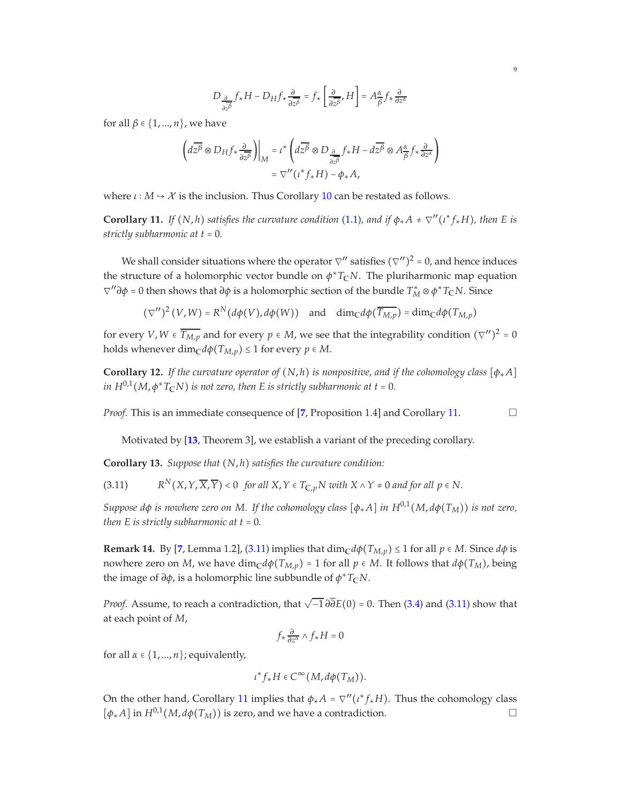$$
D_{\frac{\partial}{\partial z^{\beta}}} f_{*}H - D_{H}f_{*} \frac{\partial}{\partial z^{\beta}} = f_{*} \left[ \frac{\partial}{\partial z^{\beta}}, H \right] = A^{\alpha}_{\beta} f_{*} \frac{\partial}{\partial z^{\alpha}}
$$

for all *β* ∈ {1, ..., *n*}, we have

$$
\begin{aligned} \left( d\overline{z^{\beta}} \otimes D_H f_* \frac{\partial}{\partial \overline{z^{\beta}}} \right) \Big|_{M} &= \iota^* \left( d\overline{z^{\beta}} \otimes D_{\frac{\partial}{\partial \overline{z^{\beta}}}} f_* H - d\overline{z^{\beta}} \otimes A_{\overline{\beta}}^{\alpha} f_* \frac{\partial}{\partial z^{\alpha}} \right) \\ &= \nabla'' \big( \iota^* f_* H \big) - \phi_* A, \end{aligned}
$$

where  $\iota : M \rightarrow \mathcal{X}$  is the inclusion. Thus Corollary [10](#page-7-2) can be restated as follows.

<span id="page-8-0"></span>**Corollary 11.** *If*  $(N, h)$  *satisfies the curvature condition* [\(1.1\)](#page-0-2)*, and if*  $\phi_* A \neq \nabla''(i^* f_* H)$ *, then E is strictly subharmonic at t* = 0*.*

We shall consider situations where the operator  $\nabla''$  satisfies  $(\nabla'')^2$  = 0, and hence induces the structure of a holomorphic vector bundle on  $\phi^*T_{\mathbb{C}}N$ . The pluriharmonic map equation *∇*<sup>*′*</sup>*∂φ* = 0 then shows that *∂φ* is a holomorphic section of the bundle  $T_M^* \otimes \phi^* T_{\mathbb C} N$ . Since

 $(\nabla'')^2 (V, W) = R^N(d\phi(V), d\phi(W))$  and  $\dim_{\mathbb{C}} d\phi(\overline{T_{M,p}}) = \dim_{\mathbb{C}} d\phi(T_{M,p})$ 

for every *V*, *W*  $\in \overline{T_{M,p}}$  and for every  $p \in M$ , we see that the integrability condition  $(\nabla'')^2 = 0$ holds whenever dim<sub>C</sub> $d\phi(T_{M,p}) \leq 1$  for every  $p \in M$ .

**Corollary 12.** *If the curvature operator of*  $(N,h)$  *is nonpositive, and if the cohomology class*  $[\phi_*A]$ *in*  $H^{0,1}(M,\phi^*T_\mathbb{C} N)$  *is not zero, then E is strictly subharmonic at t = 0.* 

*Proof.* This is an immediate consequence of [[7](#page-9-7), Proposition 1.4] and Corollary [11.](#page-8-0) □

Motivated by [**[13](#page-9-4)**, Theorem 3], we establish a variant of the preceding corollary.

**Corollary 13.** *Suppose that* (*N*, *h*) *satisfies the curvature condition:*

<span id="page-8-1"></span> $(3.11)$  $R^{N}(X, Y, \overline{X}, \overline{Y})$  < 0 *for all X*,  $Y \in T_{C, p}N$  with  $X \wedge Y \neq 0$  *and for all p*  $\in N$ .

*Suppose d* $\phi$  *is nowhere zero on M. If the cohomology class*  $[\phi_* A]$  *in*  $H^{0,1}(M, d\phi(T_M))$  *is not zero, then*  $E$  *is strictly subharmonic at*  $t = 0$ *.* 

**Remark 14.** By [[7](#page-9-7), Lemma 1.2], [\(3.11\)](#page-8-1) implies that  $\dim_{\mathbb{C}} d\phi(T_{M,p}) \leq 1$  for all  $p \in M$ . Since  $d\phi$  is nowhere zero on *M*, we have  $\dim_{\mathbb{C}} d\phi(T_{M,p}) = 1$  for all  $p \in M$ . It follows that  $d\phi(T_M)$ , being the image of *∂φ*, is a holomorphic line subbundle of *φ* <sup>∗</sup>*T***C***N*.

*Proof.* Assume, to reach a contradiction, that  $\sqrt{-1} \partial \overline{\partial} E(0)$  = 0. Then [\(3.4\)](#page-5-1) and [\(3.11\)](#page-8-1) show that at each point of *M*,

$$
f_*\frac{\partial}{\partial z^\alpha}\wedge f_*H=0
$$

for all  $\alpha \in \{1, ..., n\}$ ; equivalently,

$$
\iota^* f_* H \in C^\infty(M, d\phi(T_M)).
$$

On the other hand, Corollary [11](#page-8-0) implies that  $\phi_* A = \nabla''(i^* f_* H)$ . Thus the cohomology class  $[\phi_*A]$  in  $H^{0,1}(M, d\phi(T_M))$  is zero, and we have a contradiction.